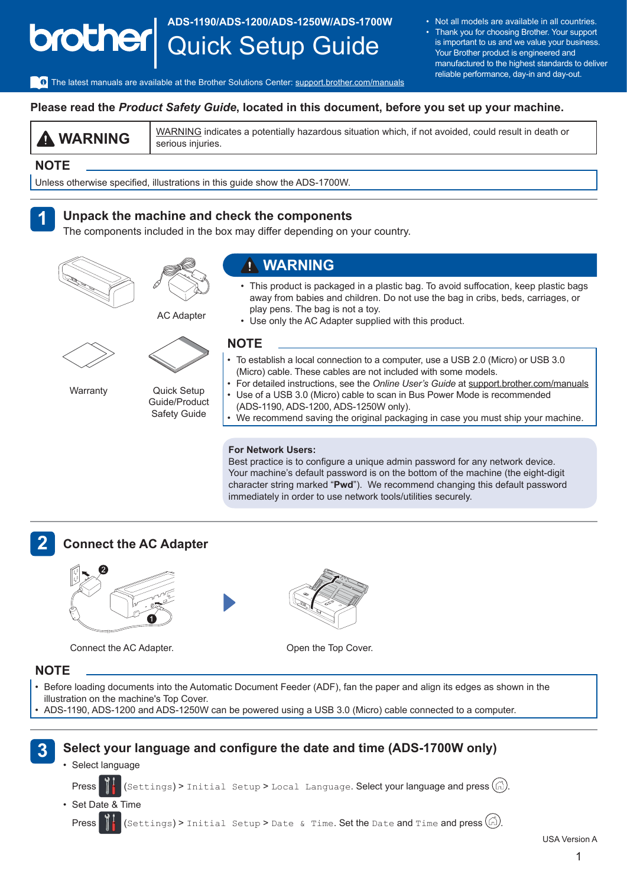### **ADS-1190/ADS-1200/ADS-1250W/ADS-1700W** brother Quick Setup Guide

• Not all models are available in all countries. Thank you for choosing Brother. Your support is important to us and we value your business. Your Brother product is engineered and manufactured to the highest standards to deliver

reliable performance, day-in and day-out.

The latest manuals are available at the Brother Solutions Center: [support.brother.com/manuals](http://support.brother.com/manuals)

#### **Please read the** *Product Safety Guide***, located in this document, before you set up your machine.**

**WARNING** WARNING indicates a potentially hazardous situation which, if not avoided, could result in death or serious injuries.

#### **NOTE**

Unless otherwise specified, illustrations in this guide show the ADS-1700W.

#### **1 Unpack the machine and check the components**

The components included in the box may differ depending on your country.





#### **WARNING**

- This product is packaged in a plastic bag. To avoid suffocation, keep plastic bags away from babies and children. Do not use the bag in cribs, beds, carriages, or play pens. The bag is not a toy.
- AC Adapter



**Warranty** 



Quick Setup Guide/Product Safety Guide

- • Use only the AC Adapter supplied with this product. **NOTE**
	- To establish a local connection to a computer, use a USB 2.0 (Micro) or USB 3.0 (Micro) cable. These cables are not included with some models.
- For detailed instructions, see the *Online User's Guide* at [support.brother.com/manuals](http://support.brother.com/manuals) • Use of a USB 3.0 (Micro) cable to scan in Bus Power Mode is recommended (ADS-1190, ADS‑1200, ADS-1250W only).
- We recommend saving the original packaging in case you must ship your machine.

#### **For Network Users:**

Best practice is to configure a unique admin password for any network device. Your machine's default password is on the bottom of the machine (the eight-digit character string marked "**Pwd**"). We recommend changing this default password immediately in order to use network tools/utilities securely.



### **Connect the AC Adapter**



Connect the AC Adapter. Connect the AC Adapter.



#### **NOTE**

- • Before loading documents into the Automatic Document Feeder (ADF), fan the paper and align its edges as shown in the illustration on the machine's Top Cover.
- ADS-1190, ADS-1200 and ADS-1250W can be powered using a USB 3.0 (Micro) cable connected to a computer.



USA Version A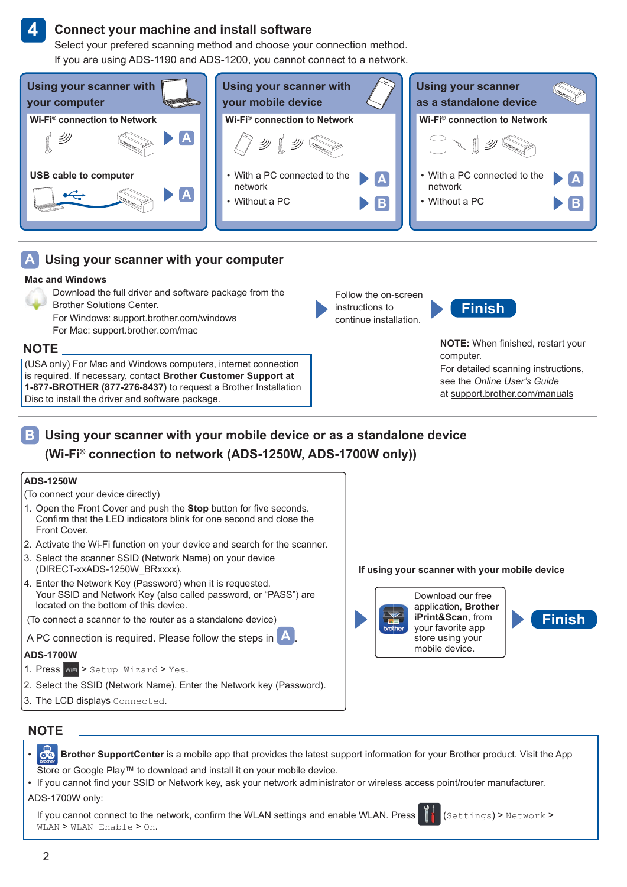#### **Connect your machine and install software**

Select your prefered scanning method and choose your connection method. If you are using ADS-1190 and ADS-1200, you cannot connect to a network.



#### **Using your scanner with your computer A**

#### **Mac and Windows**

- Download the full driver and software package from the Brother Solutions Center.
	- For Windows: [support.brother.com/windows](http://support.brother.com/windows)
	- For Mac: [support.brother.com/mac](http://support.brother.com/mac)

#### **NOTE**

**4**

(USA only) For Mac and Windows computers, internet connection is required. If necessary, contact **Brother Customer Support at 1-877-BROTHER (877-276-8437)** to request a Brother Installation Disc to install the driver and software package.

Follow the on-screen instructions to continue installation.



**NOTE:** When finished, restart your computer. For detailed scanning instructions, see the *Online User's Guide* at [support.brother.com/manuals](http://support.brother.com/manuals)

### **Using your scanner with your mobile device or as a standalone device B (Wi-Fi® connection to network (ADS-1250W, ADS-1700W only))**

#### **ADS-1250W**

- (To connect your device directly)
- 1. Open the Front Cover and push the **Stop** button for five seconds. Confirm that the LED indicators blink for one second and close the Front Cover.
- 2. Activate the Wi-Fi function on your device and search for the scanner.
- 3. Select the scanner SSID (Network Name) on your device (DIRECT‑xxADS-1250W\_BRxxxx).
- 4. Enter the Network Key (Password) when it is requested. Your SSID and Network Key (also called password, or "PASS") are located on the bottom of this device.
- (To connect a scanner to the router as a standalone device)

A PC connection is required. Please follow the steps in **A** 

#### **ADS-1700W**

- 1. Press  $w =$  > Setup Wizard > Yes.
- 2. Select the SSID (Network Name). Enter the Network key (Password).
- 3. The LCD displays Connected.

**If using your scanner with your mobile device**



**Finish**

### **NOTE**

- **Brother SupportCenter** is a mobile app that provides the latest support information for your Brother product. Visit the App Store or Google Play™ to download and install it on your mobile device.
- • If you cannot find your SSID or Network key, ask your network administrator or wireless access point/router manufacturer. ADS-1700W only:

If you cannot connect to the network, confirm the WLAN settings and enable WLAN. Press  $\prod_{k=1}^{n}$  (Settings) > Network > WLAN > WLAN Enable > On.

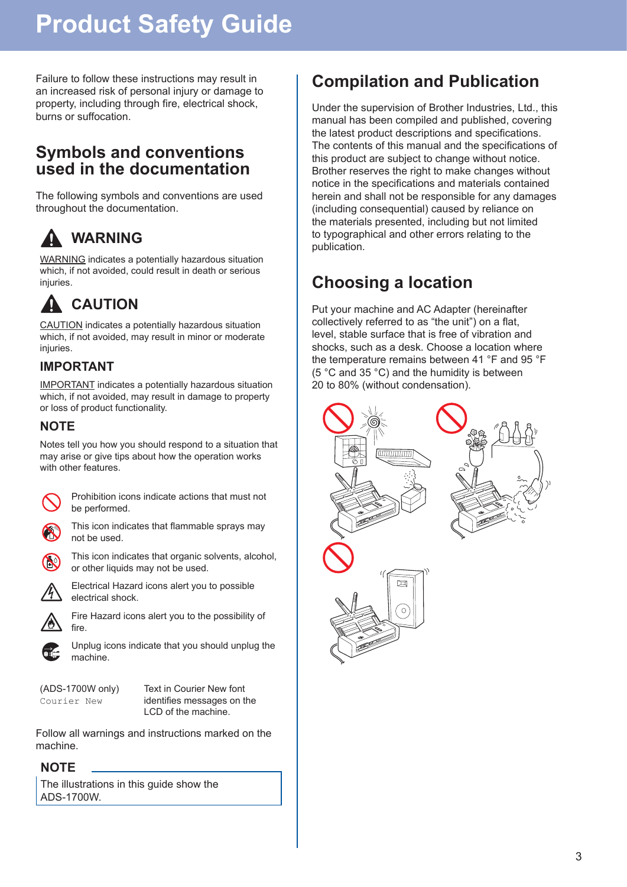Failure to follow these instructions may result in an increased risk of personal injury or damage to property, including through fire, electrical shock, burns or suffocation.

# **Symbols and conventions used in the documentation**

The following symbols and conventions are used throughout the documentation.

# **WARNING**

WARNING indicates a potentially hazardous situation which, if not avoided, could result in death or serious injuries.

# **CAUTION**

CAUTION indicates a potentially hazardous situation which, if not avoided, may result in minor or moderate injuries.

## **IMPORTANT**

IMPORTANT indicates a potentially hazardous situation which, if not avoided, may result in damage to property or loss of product functionality.

## **NOTE**

Notes tell you how you should respond to a situation that may arise or give tips about how the operation works with other features.



Prohibition icons indicate actions that must not be performed.



This icon indicates that flammable sprays may not be used.



or other liquids may not be used.

This icon indicates that organic solvents, alcohol,



Electrical Hazard icons alert you to possible electrical shock.



Fire Hazard icons alert you to the possibility of fire.



Unplug icons indicate that you should unplug the machine.

(ADS-1700W only) Courier New

Text in Courier New font identifies messages on the LCD of the machine.

Follow all warnings and instructions marked on the machine.

### **NOTE**

The illustrations in this guide show the ADS‑1700W.

# **Compilation and Publication**

Under the supervision of Brother Industries, Ltd., this manual has been compiled and published, covering the latest product descriptions and specifications. The contents of this manual and the specifications of this product are subject to change without notice. Brother reserves the right to make changes without notice in the specifications and materials contained herein and shall not be responsible for any damages (including consequential) caused by reliance on the materials presented, including but not limited to typographical and other errors relating to the publication.

# **Choosing a location**

Put your machine and AC Adapter (hereinafter collectively referred to as "the unit") on a flat, level, stable surface that is free of vibration and shocks, such as a desk. Choose a location where the temperature remains between 41 °F and 95 °F (5 °C and 35 °C) and the humidity is between 20 to 80% (without condensation).

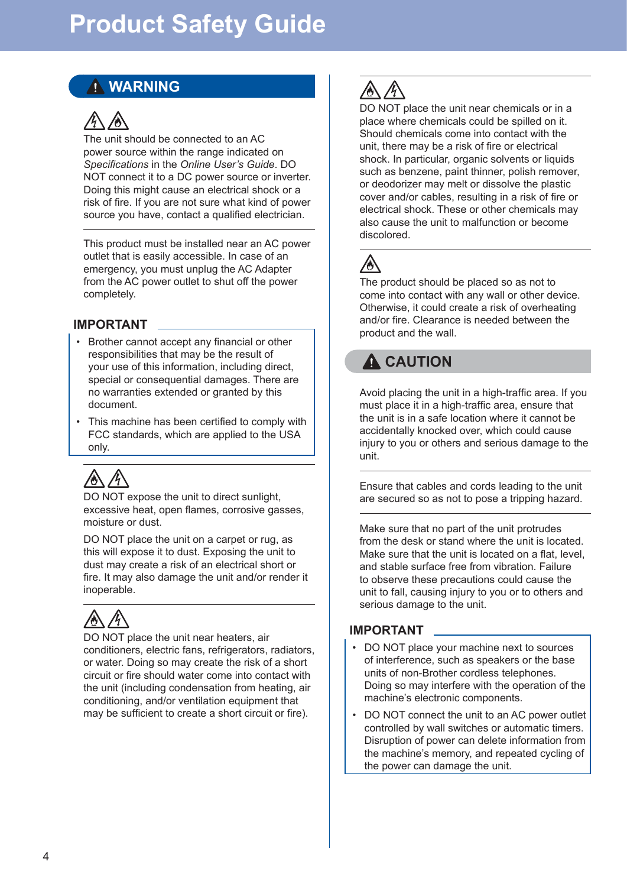# **WARNING**



The unit should be connected to an AC power source within the range indicated on *Specifications* in the *Online User's Guide*. DO NOT connect it to a DC power source or inverter. Doing this might cause an electrical shock or a risk of fire. If you are not sure what kind of power source you have, contact a qualified electrician.

This product must be installed near an AC power outlet that is easily accessible. In case of an emergency, you must unplug the AC Adapter from the AC power outlet to shut off the power completely.

#### **IMPORTANT**

- • Brother cannot accept any financial or other responsibilities that may be the result of your use of this information, including direct, special or consequential damages. There are no warranties extended or granted by this document.
- This machine has been certified to comply with FCC standards, which are applied to the USA only.



DO NOT expose the unit to direct sunlight, excessive heat, open flames, corrosive gasses, moisture or dust.

DO NOT place the unit on a carpet or rug, as this will expose it to dust. Exposing the unit to dust may create a risk of an electrical short or fire. It may also damage the unit and/or render it inoperable.

DO NOT place the unit near heaters, air conditioners, electric fans, refrigerators, radiators, or water. Doing so may create the risk of a short circuit or fire should water come into contact with the unit (including condensation from heating, air conditioning, and/or ventilation equipment that may be sufficient to create a short circuit or fire).

DO NOT place the unit near chemicals or in a place where chemicals could be spilled on it. Should chemicals come into contact with the unit, there may be a risk of fire or electrical shock. In particular, organic solvents or liquids such as benzene, paint thinner, polish remover, or deodorizer may melt or dissolve the plastic cover and/or cables, resulting in a risk of fire or electrical shock. These or other chemicals may also cause the unit to malfunction or become discolored.



The product should be placed so as not to come into contact with any wall or other device. Otherwise, it could create a risk of overheating and/or fire. Clearance is needed between the product and the wall.

# **A** CAUTION

Avoid placing the unit in a high-traffic area. If you must place it in a high-traffic area, ensure that the unit is in a safe location where it cannot be accidentally knocked over, which could cause injury to you or others and serious damage to the unit.

Ensure that cables and cords leading to the unit are secured so as not to pose a tripping hazard.

Make sure that no part of the unit protrudes from the desk or stand where the unit is located. Make sure that the unit is located on a flat, level, and stable surface free from vibration. Failure to observe these precautions could cause the unit to fall, causing injury to you or to others and serious damage to the unit.

### **IMPORTANT**

- DO NOT place your machine next to sources of interference, such as speakers or the base units of non-Brother cordless telephones. Doing so may interfere with the operation of the machine's electronic components.
- DO NOT connect the unit to an AC power outlet controlled by wall switches or automatic timers. Disruption of power can delete information from the machine's memory, and repeated cycling of the power can damage the unit.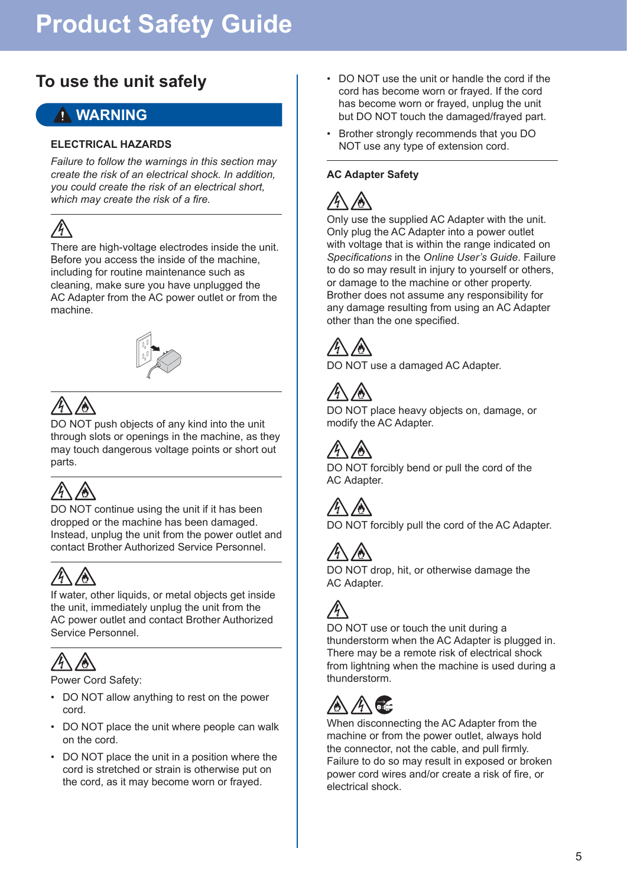# **To use the unit safely**

# **WARNING**

#### **ELECTRICAL HAZARDS**

*Failure to follow the warnings in this section may create the risk of an electrical shock. In addition, you could create the risk of an electrical short, which may create the risk of a fire.*

# $\mathbb{A}$

There are high-voltage electrodes inside the unit. Before you access the inside of the machine, including for routine maintenance such as cleaning, make sure you have unplugged the AC Adapter from the AC power outlet or from the machine.



DO NOT push objects of any kind into the unit through slots or openings in the machine, as they may touch dangerous voltage points or short out parts.

DO NOT continue using the unit if it has been dropped or the machine has been damaged. Instead, unplug the unit from the power outlet and contact Brother Authorized Service Personnel.



If water, other liquids, or metal objects get inside the unit, immediately unplug the unit from the AC power outlet and contact Brother Authorized Service Personnel.



Power Cord Safety:

- DO NOT allow anything to rest on the power cord.
- DO NOT place the unit where people can walk on the cord.
- DO NOT place the unit in a position where the cord is stretched or strain is otherwise put on the cord, as it may become worn or frayed.
- • DO NOT use the unit or handle the cord if the cord has become worn or frayed. If the cord has become worn or frayed, unplug the unit but DO NOT touch the damaged/frayed part.
- • Brother strongly recommends that you DO NOT use any type of extension cord.

#### **AC Adapter Safety**



Only use the supplied AC Adapter with the unit. Only plug the AC Adapter into a power outlet with voltage that is within the range indicated on *Specifications* in the *Online User's Guide*. Failure to do so may result in injury to yourself or others, or damage to the machine or other property. Brother does not assume any responsibility for any damage resulting from using an AC Adapter other than the one specified.



DO NOT use a damaged AC Adapter.

DO NOT place heavy objects on, damage, or modify the AC Adapter.



DO NOT forcibly bend or pull the cord of the AC Adapter.

DO NOT forcibly pull the cord of the AC Adapter.



DO NOT drop, hit, or otherwise damage the AC Adapter.



DO NOT use or touch the unit during a thunderstorm when the AC Adapter is plugged in. There may be a remote risk of electrical shock from lightning when the machine is used during a thunderstorm.

When disconnecting the AC Adapter from the machine or from the power outlet, always hold the connector, not the cable, and pull firmly. Failure to do so may result in exposed or broken power cord wires and/or create a risk of fire, or electrical shock.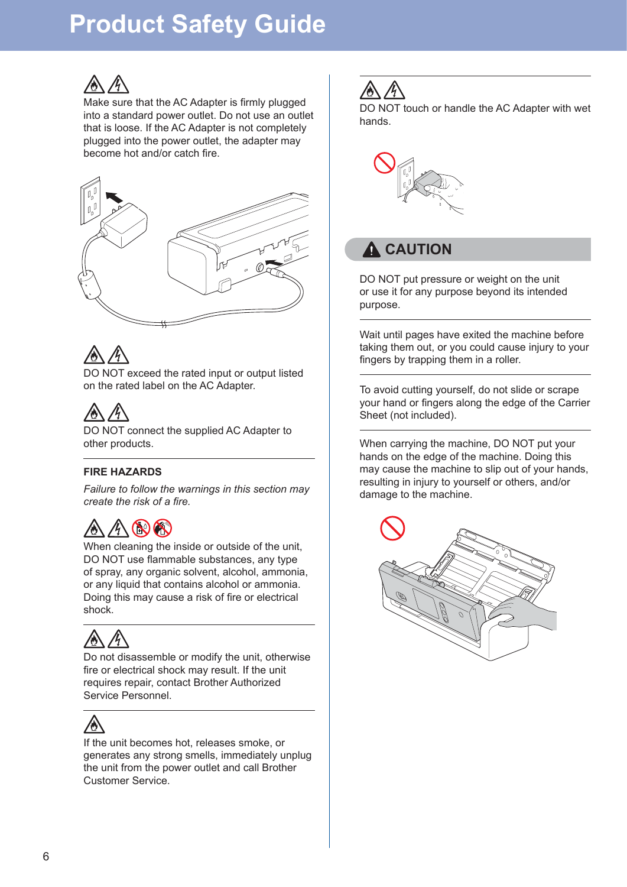

Make sure that the AC Adapter is firmly plugged into a standard power outlet. Do not use an outlet that is loose. If the AC Adapter is not completely plugged into the power outlet, the adapter may become hot and/or catch fire.





DO NOT exceed the rated input or output listed on the rated label on the AC Adapter.



DO NOT connect the supplied AC Adapter to other products.

#### **FIRE HAZARDS**

*Failure to follow the warnings in this section may create the risk of a fire.*

# **NOCH**

When cleaning the inside or outside of the unit, DO NOT use flammable substances, any type of spray, any organic solvent, alcohol, ammonia, or any liquid that contains alcohol or ammonia. Doing this may cause a risk of fire or electrical shock.



Do not disassemble or modify the unit, otherwise fire or electrical shock may result. If the unit requires repair, contact Brother Authorized Service Personnel.



If the unit becomes hot, releases smoke, or generates any strong smells, immediately unplug the unit from the power outlet and call Brother Customer Service.



DO NOT touch or handle the AC Adapter with wet hands.



# **A** CAUTION

DO NOT put pressure or weight on the unit or use it for any purpose beyond its intended purpose.

Wait until pages have exited the machine before taking them out, or you could cause injury to your fingers by trapping them in a roller.

To avoid cutting yourself, do not slide or scrape your hand or fingers along the edge of the Carrier Sheet (not included).

When carrying the machine, DO NOT put your hands on the edge of the machine. Doing this may cause the machine to slip out of your hands, resulting in injury to yourself or others, and/or damage to the machine.

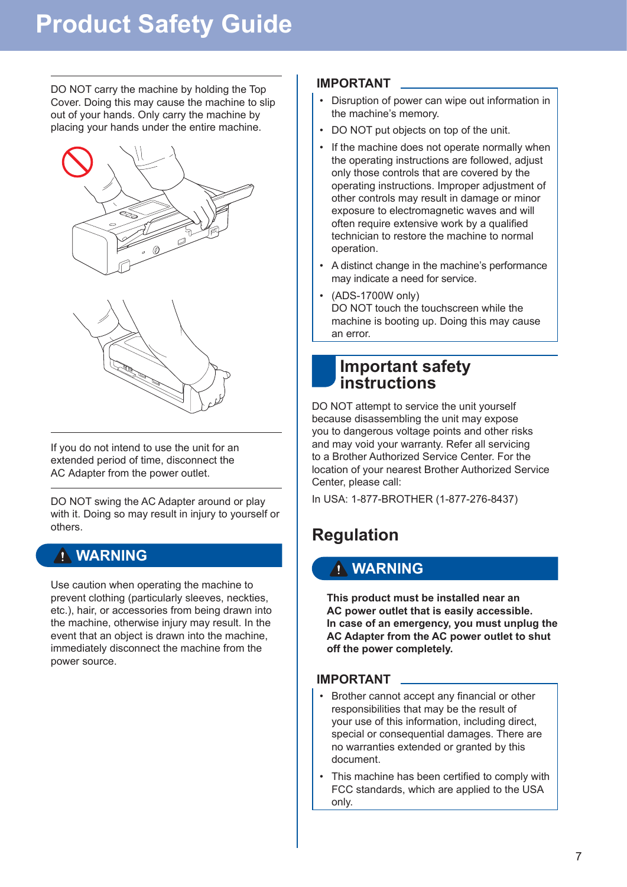DO NOT carry the machine by holding the Top Cover. Doing this may cause the machine to slip out of your hands. Only carry the machine by placing your hands under the entire machine.





If you do not intend to use the unit for an extended period of time, disconnect the AC Adapter from the power outlet.

DO NOT swing the AC Adapter around or play with it. Doing so may result in injury to yourself or others.

# **WARNING**

Use caution when operating the machine to prevent clothing (particularly sleeves, neckties, etc.), hair, or accessories from being drawn into the machine, otherwise injury may result. In the event that an object is drawn into the machine, immediately disconnect the machine from the power source.

### **IMPORTANT**

- Disruption of power can wipe out information in the machine's memory.
- DO NOT put objects on top of the unit.
- If the machine does not operate normally when the operating instructions are followed, adjust only those controls that are covered by the operating instructions. Improper adjustment of other controls may result in damage or minor exposure to electromagnetic waves and will often require extensive work by a qualified technician to restore the machine to normal operation.
- A distinct change in the machine's performance may indicate a need for service.
- (ADS-1700W only) DO NOT touch the touchscreen while the machine is booting up. Doing this may cause an error.

# **Important safety instructions**

DO NOT attempt to service the unit yourself because disassembling the unit may expose you to dangerous voltage points and other risks and may void your warranty. Refer all servicing to a Brother Authorized Service Center. For the location of your nearest Brother Authorized Service Center, please call:

In USA: 1-877-BROTHER (1-877-276-8437)

# **Regulation**

## **WARNING**

**This product must be installed near an AC power outlet that is easily accessible. In case of an emergency, you must unplug the AC Adapter from the AC power outlet to shut off the power completely.**

### **IMPORTANT**

- Brother cannot accept any financial or other responsibilities that may be the result of your use of this information, including direct, special or consequential damages. There are no warranties extended or granted by this document.
- This machine has been certified to comply with FCC standards, which are applied to the USA only.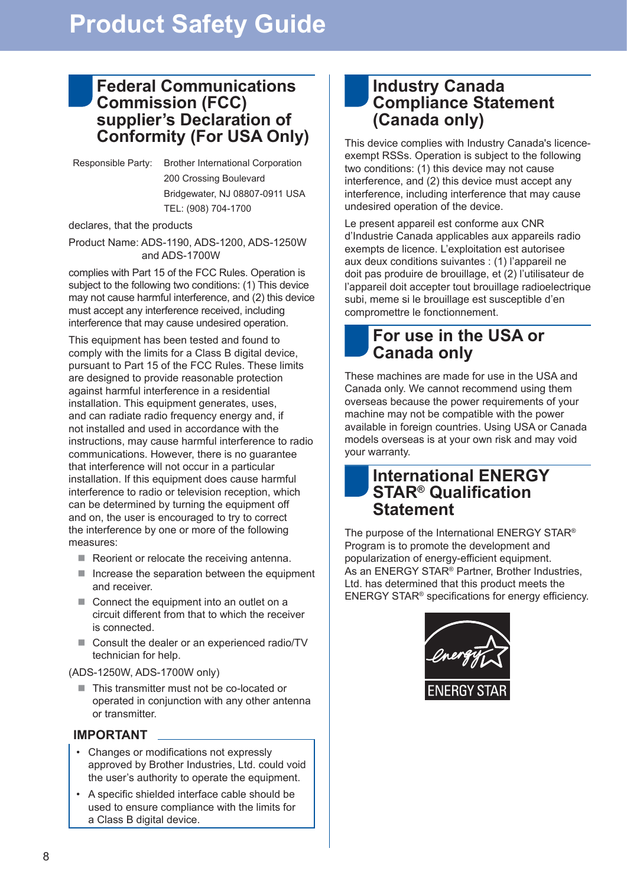## **Federal Communications Commission (FCC) supplier's Declaration of Conformity (For USA Only)**

Responsible Party: Brother International Corporation 200 Crossing Boulevard Bridgewater, NJ 08807-0911 USA TEL: (908) 704-1700

declares, that the products

Product Name: ADS-1190, ADS-1200, ADS-1250W and ADS‑1700W

complies with Part 15 of the FCC Rules. Operation is subject to the following two conditions: (1) This device may not cause harmful interference, and (2) this device must accept any interference received, including interference that may cause undesired operation.

This equipment has been tested and found to comply with the limits for a Class B digital device, pursuant to Part 15 of the FCC Rules. These limits are designed to provide reasonable protection against harmful interference in a residential installation. This equipment generates, uses, and can radiate radio frequency energy and, if not installed and used in accordance with the instructions, may cause harmful interference to radio communications. However, there is no guarantee that interference will not occur in a particular installation. If this equipment does cause harmful interference to radio or television reception, which can be determined by turning the equipment off and on, the user is encouraged to try to correct the interference by one or more of the following measures:

- Reorient or relocate the receiving antenna.
- $\blacksquare$  Increase the separation between the equipment and receiver.
- Connect the equipment into an outlet on a circuit different from that to which the receiver is connected.
- Consult the dealer or an experienced radio/TV technician for help.

(ADS-1250W, ADS-1700W only)

■ This transmitter must not be co-located or operated in conjunction with any other antenna or transmitter.

### **IMPORTANT**

- • Changes or modifications not expressly approved by Brother Industries, Ltd. could void the user's authority to operate the equipment.
- • A specific shielded interface cable should be used to ensure compliance with the limits for a Class B digital device.

## **Industry Canada Compliance Statement (Canada only)**

This device complies with Industry Canada's licenceexempt RSSs. Operation is subject to the following two conditions: (1) this device may not cause interference, and (2) this device must accept any interference, including interference that may cause undesired operation of the device.

Le present appareil est conforme aux CNR d'Industrie Canada applicables aux appareils radio exempts de licence. L'exploitation est autorisee aux deux conditions suivantes : (1) l'appareil ne doit pas produire de brouillage, et (2) l'utilisateur de l'appareil doit accepter tout brouillage radioelectrique subi, meme si le brouillage est susceptible d'en compromettre le fonctionnement.

# **For use in the USA or Canada only**

These machines are made for use in the USA and Canada only. We cannot recommend using them overseas because the power requirements of your machine may not be compatible with the power available in foreign countries. Using USA or Canada models overseas is at your own risk and may void your warranty.

## **International ENERGY STAR® Qualification Statement**

The purpose of the International ENERGY STAR® Program is to promote the development and popularization of energy-efficient equipment. As an ENERGY STAR® Partner, Brother Industries, Ltd. has determined that this product meets the ENERGY STAR® specifications for energy efficiency.

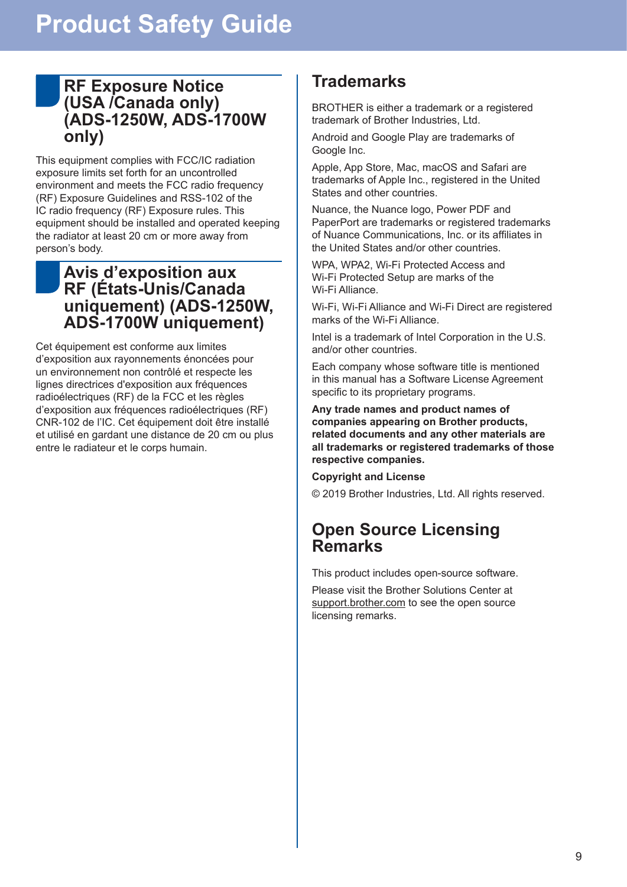## **RF Exposure Notice (USA /Canada only) (ADS‑1250W, ADS-1700W only)**

This equipment complies with FCC/IC radiation exposure limits set forth for an uncontrolled environment and meets the FCC radio frequency (RF) Exposure Guidelines and RSS-102 of the IC radio frequency (RF) Exposure rules. This equipment should be installed and operated keeping the radiator at least 20 cm or more away from person's body.

## **Avis d'exposition aux RF (États-Unis/Canada uniquement) (ADS-1250W, ADS-1700W uniquement)**

Cet équipement est conforme aux limites d'exposition aux rayonnements énoncées pour un environnement non contrôlé et respecte les lignes directrices d'exposition aux fréquences radioélectriques (RF) de la FCC et les règles d'exposition aux fréquences radioélectriques (RF) CNR-102 de l'IC. Cet équipement doit être installé et utilisé en gardant une distance de 20 cm ou plus entre le radiateur et le corps humain.

# **Trademarks**

BROTHER is either a trademark or a registered trademark of Brother Industries, Ltd.

Android and Google Play are trademarks of Google Inc.

Apple, App Store, Mac, macOS and Safari are trademarks of Apple Inc., registered in the United States and other countries.

Nuance, the Nuance logo, Power PDF and PaperPort are trademarks or registered trademarks of Nuance Communications, Inc. or its affiliates in the United States and/or other countries.

WPA, WPA2, Wi-Fi Protected Access and Wi‑Fi Protected Setup are marks of the Wi-Fi Alliance.

Wi-Fi, Wi-Fi Alliance and Wi-Fi Direct are registered marks of the Wi-Fi Alliance.

Intel is a trademark of Intel Corporation in the U.S. and/or other countries.

Each company whose software title is mentioned in this manual has a Software License Agreement specific to its proprietary programs.

**Any trade names and product names of companies appearing on Brother products, related documents and any other materials are all trademarks or registered trademarks of those respective companies.**

**Copyright and License**

© 2019 Brother Industries, Ltd. All rights reserved.

# **Open Source Licensing Remarks**

This product includes open-source software.

Please visit the Brother Solutions Center at [support.brother.com](http://support.brother.com) to see the open source licensing remarks.